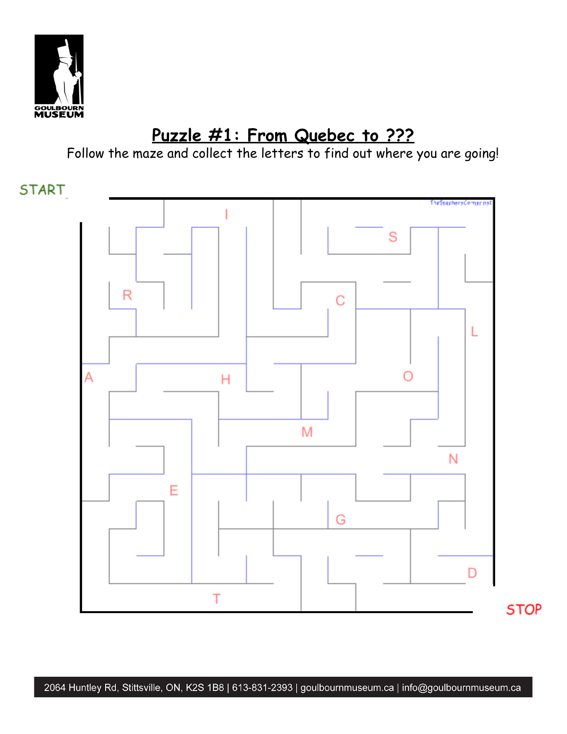

## **Puzzle #1: From Quebec to ???**

Follow the maze and collect the letters to find out where you are going!

**START** 

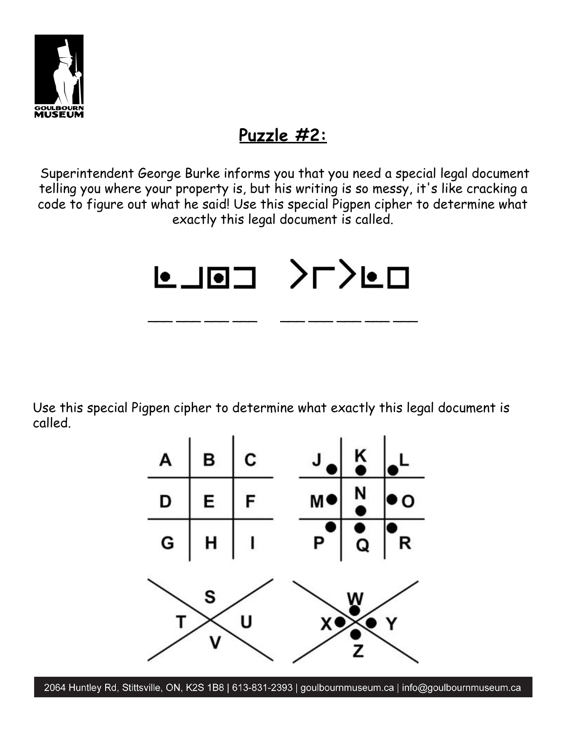

## **Puzzle #2:**

Superintendent George Burke informs you that you need a special legal document telling you where your property is, but his writing is so messy, it's like cracking a code to figure out what he said! Use this special Pigpen cipher to determine what exactly this legal document is called.



\_\_\_ \_\_\_ \_\_\_ \_\_\_ \_\_\_ \_\_\_ \_\_\_ \_\_\_ \_\_\_

Use this special Pigpen cipher to determine what exactly this legal document is called.



2064 Huntley Rd, Stittsville, ON, K2S 1B8 | 613-831-2393 | goulbournmuseum.ca | info@goulbournmuseum.ca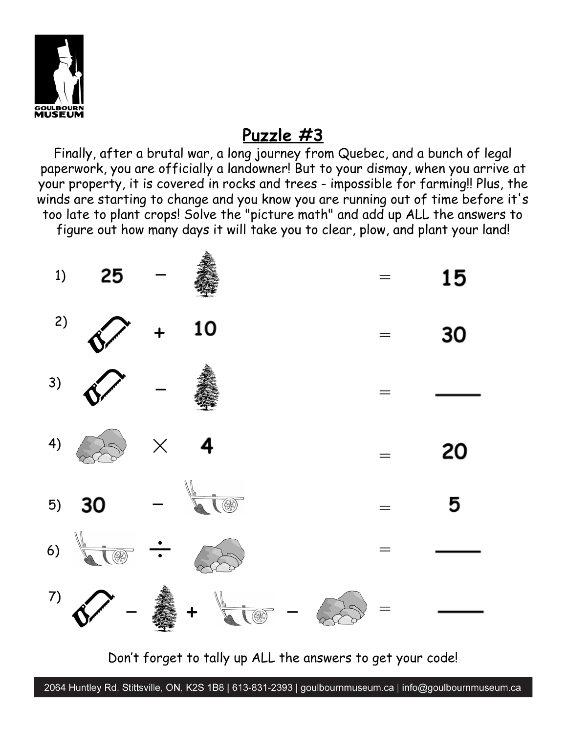

## **Puzzle #3**

Finally, after a brutal war, a long journey from Quebec, and a bunch of legal paperwork, you are officially a landowner! But to your dismay, when you arrive at your property, it is covered in rocks and trees - impossible for farming!! Plus, the winds are starting to change and you know you are running out of time before it's too late to plant crops! Solve the "picture math" and add up ALL the answers to figure out how many days it will take you to clear, plow, and plant your land!



Don't forget to tally up ALL the answers to get your code!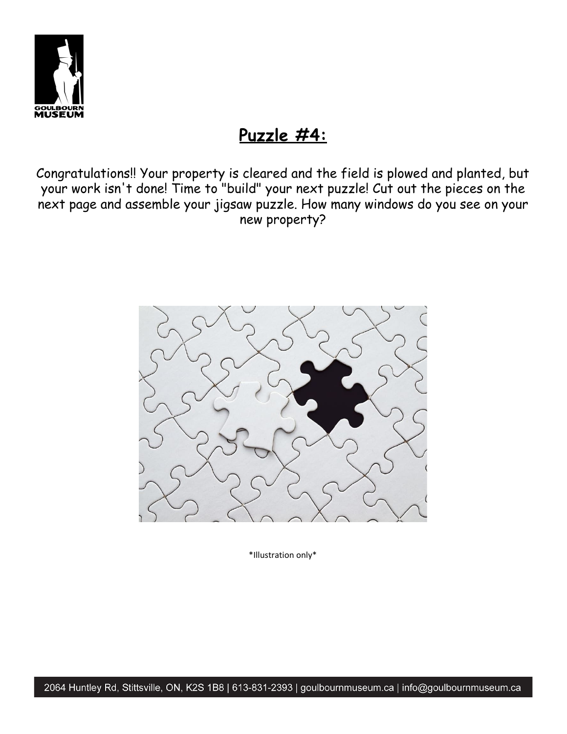

#### **Puzzle #4:**

Congratulations!! Your property is cleared and the field is plowed and planted, but your work isn't done! Time to "build" your next puzzle! Cut out the pieces on the next page and assemble your jigsaw puzzle. How many windows do you see on your new property?



\*Illustration only\*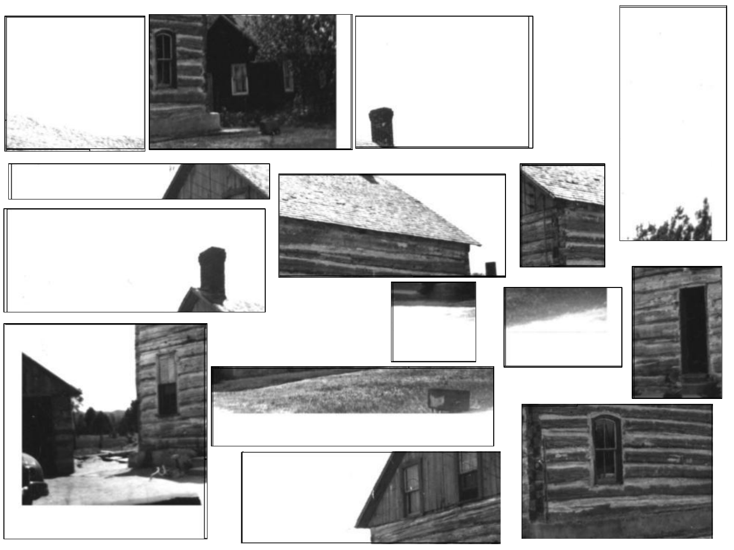